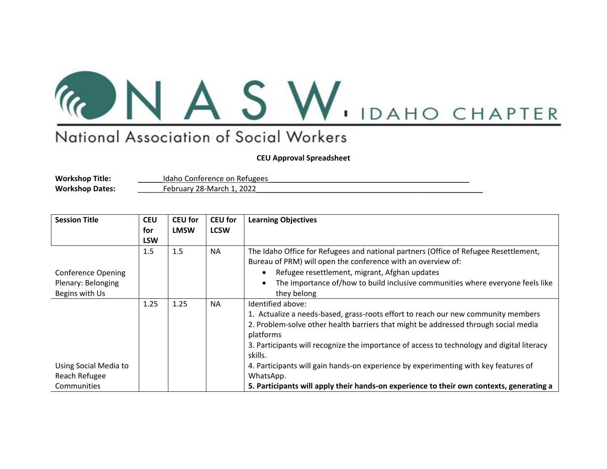

## National Association of Social Workers

**CEU Approval Spreadsheet**

**Workshop Title:** \_\_\_\_\_\_Idaho Conference on Refugees\_\_\_\_\_\_\_\_\_\_\_\_\_\_\_\_\_\_\_\_\_\_\_\_\_\_\_\_\_\_\_\_\_\_\_\_\_\_\_\_\_\_\_\_\_\_\_\_

February 28-March 1, 2022

| <b>Session Title</b>      | <b>CEU</b> | <b>CEU for</b> | <b>CEU for</b> | <b>Learning Objectives</b>                                                                 |
|---------------------------|------------|----------------|----------------|--------------------------------------------------------------------------------------------|
|                           | for        | <b>LMSW</b>    | <b>LCSW</b>    |                                                                                            |
|                           | <b>LSW</b> |                |                |                                                                                            |
|                           | 1.5        | 1.5            | <b>NA</b>      | The Idaho Office for Refugees and national partners (Office of Refugee Resettlement,       |
|                           |            |                |                | Bureau of PRM) will open the conference with an overview of:                               |
| <b>Conference Opening</b> |            |                |                | Refugee resettlement, migrant, Afghan updates<br>$\bullet$                                 |
| Plenary: Belonging        |            |                |                | The importance of/how to build inclusive communities where everyone feels like             |
| Begins with Us            |            |                |                | they belong                                                                                |
|                           | 1.25       | 1.25           | <b>NA</b>      | Identified above:                                                                          |
|                           |            |                |                | 1. Actualize a needs-based, grass-roots effort to reach our new community members          |
|                           |            |                |                | 2. Problem-solve other health barriers that might be addressed through social media        |
|                           |            |                |                | platforms                                                                                  |
|                           |            |                |                | 3. Participants will recognize the importance of access to technology and digital literacy |
|                           |            |                |                | skills.                                                                                    |
| Using Social Media to     |            |                |                | 4. Participants will gain hands-on experience by experimenting with key features of        |
| Reach Refugee             |            |                |                | WhatsApp.                                                                                  |
| Communities               |            |                |                | 5. Participants will apply their hands-on experience to their own contexts, generating a   |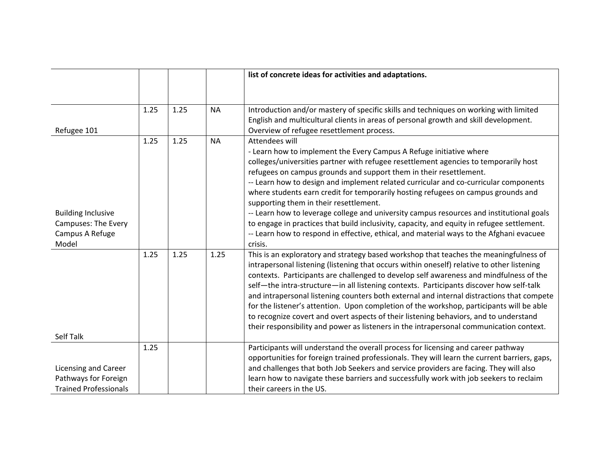|                              |      |      |           | list of concrete ideas for activities and adaptations.                                                                                                                                                                                                                                                                                                                    |
|------------------------------|------|------|-----------|---------------------------------------------------------------------------------------------------------------------------------------------------------------------------------------------------------------------------------------------------------------------------------------------------------------------------------------------------------------------------|
|                              |      |      |           |                                                                                                                                                                                                                                                                                                                                                                           |
|                              | 1.25 | 1.25 | <b>NA</b> | Introduction and/or mastery of specific skills and techniques on working with limited<br>English and multicultural clients in areas of personal growth and skill development.                                                                                                                                                                                             |
| Refugee 101                  |      |      |           | Overview of refugee resettlement process.                                                                                                                                                                                                                                                                                                                                 |
|                              | 1.25 | 1.25 | <b>NA</b> | Attendees will                                                                                                                                                                                                                                                                                                                                                            |
|                              |      |      |           | - Learn how to implement the Every Campus A Refuge initiative where                                                                                                                                                                                                                                                                                                       |
|                              |      |      |           | colleges/universities partner with refugee resettlement agencies to temporarily host<br>refugees on campus grounds and support them in their resettlement.                                                                                                                                                                                                                |
|                              |      |      |           | -- Learn how to design and implement related curricular and co-curricular components                                                                                                                                                                                                                                                                                      |
|                              |      |      |           | where students earn credit for temporarily hosting refugees on campus grounds and                                                                                                                                                                                                                                                                                         |
|                              |      |      |           | supporting them in their resettlement.                                                                                                                                                                                                                                                                                                                                    |
| <b>Building Inclusive</b>    |      |      |           | -- Learn how to leverage college and university campus resources and institutional goals                                                                                                                                                                                                                                                                                  |
| Campuses: The Every          |      |      |           | to engage in practices that build inclusivity, capacity, and equity in refugee settlement.                                                                                                                                                                                                                                                                                |
| Campus A Refuge<br>Model     |      |      |           | -- Learn how to respond in effective, ethical, and material ways to the Afghani evacuee<br>crisis.                                                                                                                                                                                                                                                                        |
|                              | 1.25 | 1.25 | 1.25      | This is an exploratory and strategy based workshop that teaches the meaningfulness of<br>intrapersonal listening (listening that occurs within oneself) relative to other listening<br>contexts. Participants are challenged to develop self awareness and mindfulness of the<br>self-the intra-structure-in all listening contexts. Participants discover how self-talk  |
|                              |      |      |           | and intrapersonal listening counters both external and internal distractions that compete<br>for the listener's attention. Upon completion of the workshop, participants will be able<br>to recognize covert and overt aspects of their listening behaviors, and to understand<br>their responsibility and power as listeners in the intrapersonal communication context. |
| Self Talk                    |      |      |           |                                                                                                                                                                                                                                                                                                                                                                           |
|                              | 1.25 |      |           | Participants will understand the overall process for licensing and career pathway<br>opportunities for foreign trained professionals. They will learn the current barriers, gaps,                                                                                                                                                                                         |
| Licensing and Career         |      |      |           | and challenges that both Job Seekers and service providers are facing. They will also                                                                                                                                                                                                                                                                                     |
| Pathways for Foreign         |      |      |           | learn how to navigate these barriers and successfully work with job seekers to reclaim                                                                                                                                                                                                                                                                                    |
| <b>Trained Professionals</b> |      |      |           | their careers in the US.                                                                                                                                                                                                                                                                                                                                                  |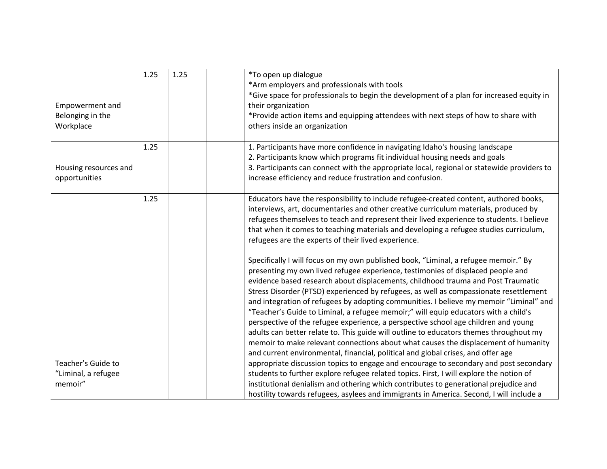| Empowerment and<br>Belonging in the<br>Workplace     | 1.25 | 1.25 | *To open up dialogue<br>*Arm employers and professionals with tools<br>*Give space for professionals to begin the development of a plan for increased equity in<br>their organization<br>*Provide action items and equipping attendees with next steps of how to share with<br>others inside an organization                                                                                                                                                                                                                                                                                                                                                                                                        |
|------------------------------------------------------|------|------|---------------------------------------------------------------------------------------------------------------------------------------------------------------------------------------------------------------------------------------------------------------------------------------------------------------------------------------------------------------------------------------------------------------------------------------------------------------------------------------------------------------------------------------------------------------------------------------------------------------------------------------------------------------------------------------------------------------------|
| Housing resources and<br>opportunities               | 1.25 |      | 1. Participants have more confidence in navigating Idaho's housing landscape<br>2. Participants know which programs fit individual housing needs and goals<br>3. Participants can connect with the appropriate local, regional or statewide providers to<br>increase efficiency and reduce frustration and confusion.                                                                                                                                                                                                                                                                                                                                                                                               |
|                                                      | 1.25 |      | Educators have the responsibility to include refugee-created content, authored books,<br>interviews, art, documentaries and other creative curriculum materials, produced by<br>refugees themselves to teach and represent their lived experience to students. I believe<br>that when it comes to teaching materials and developing a refugee studies curriculum,<br>refugees are the experts of their lived experience.<br>Specifically I will focus on my own published book, "Liminal, a refugee memoir." By                                                                                                                                                                                                     |
|                                                      |      |      | presenting my own lived refugee experience, testimonies of displaced people and<br>evidence based research about displacements, childhood trauma and Post Traumatic<br>Stress Disorder (PTSD) experienced by refugees, as well as compassionate resettlement<br>and integration of refugees by adopting communities. I believe my memoir "Liminal" and<br>"Teacher's Guide to Liminal, a refugee memoir;" will equip educators with a child's<br>perspective of the refugee experience, a perspective school age children and young<br>adults can better relate to. This guide will outline to educators themes throughout my<br>memoir to make relevant connections about what causes the displacement of humanity |
| Teacher's Guide to<br>"Liminal, a refugee<br>memoir" |      |      | and current environmental, financial, political and global crises, and offer age<br>appropriate discussion topics to engage and encourage to secondary and post secondary<br>students to further explore refugee related topics. First, I will explore the notion of<br>institutional denialism and othering which contributes to generational prejudice and<br>hostility towards refugees, asylees and immigrants in America. Second, I will include a                                                                                                                                                                                                                                                             |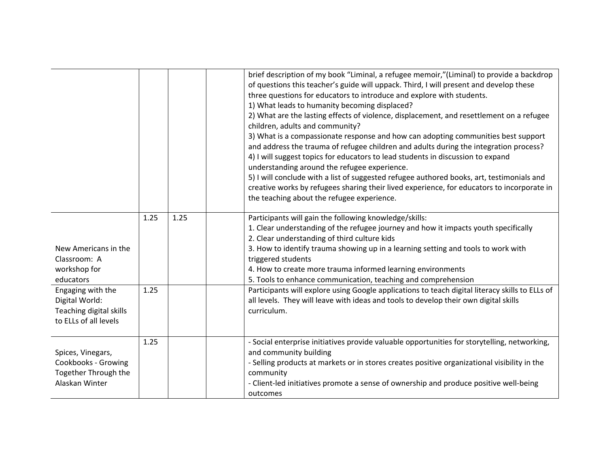|                                                                                         |      |      | brief description of my book "Liminal, a refugee memoir,"(Liminal) to provide a backdrop<br>of questions this teacher's guide will uppack. Third, I will present and develop these<br>three questions for educators to introduce and explore with students.<br>1) What leads to humanity becoming displaced?<br>2) What are the lasting effects of violence, displacement, and resettlement on a refugee<br>children, adults and community?<br>3) What is a compassionate response and how can adopting communities best support<br>and address the trauma of refugee children and adults during the integration process?<br>4) I will suggest topics for educators to lead students in discussion to expand<br>understanding around the refugee experience.<br>5) I will conclude with a list of suggested refugee authored books, art, testimonials and<br>creative works by refugees sharing their lived experience, for educators to incorporate in<br>the teaching about the refugee experience. |
|-----------------------------------------------------------------------------------------|------|------|-------------------------------------------------------------------------------------------------------------------------------------------------------------------------------------------------------------------------------------------------------------------------------------------------------------------------------------------------------------------------------------------------------------------------------------------------------------------------------------------------------------------------------------------------------------------------------------------------------------------------------------------------------------------------------------------------------------------------------------------------------------------------------------------------------------------------------------------------------------------------------------------------------------------------------------------------------------------------------------------------------|
| New Americans in the<br>Classroom: A<br>workshop for<br>educators                       | 1.25 | 1.25 | Participants will gain the following knowledge/skills:<br>1. Clear understanding of the refugee journey and how it impacts youth specifically<br>2. Clear understanding of third culture kids<br>3. How to identify trauma showing up in a learning setting and tools to work with<br>triggered students<br>4. How to create more trauma informed learning environments<br>5. Tools to enhance communication, teaching and comprehension                                                                                                                                                                                                                                                                                                                                                                                                                                                                                                                                                              |
| Engaging with the<br>Digital World:<br>Teaching digital skills<br>to ELLs of all levels | 1.25 |      | Participants will explore using Google applications to teach digital literacy skills to ELLs of<br>all levels. They will leave with ideas and tools to develop their own digital skills<br>curriculum.                                                                                                                                                                                                                                                                                                                                                                                                                                                                                                                                                                                                                                                                                                                                                                                                |
| Spices, Vinegars,<br>Cookbooks - Growing<br>Together Through the<br>Alaskan Winter      | 1.25 |      | - Social enterprise initiatives provide valuable opportunities for storytelling, networking,<br>and community building<br>- Selling products at markets or in stores creates positive organizational visibility in the<br>community<br>- Client-led initiatives promote a sense of ownership and produce positive well-being<br>outcomes                                                                                                                                                                                                                                                                                                                                                                                                                                                                                                                                                                                                                                                              |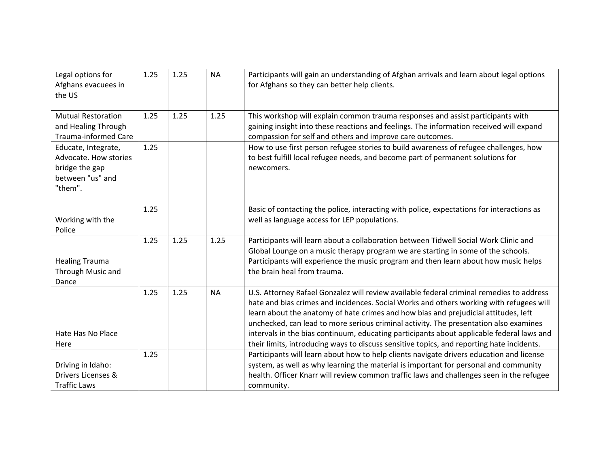| Legal options for<br>Afghans evacuees in<br>the US                                            | 1.25 | 1.25 | <b>NA</b> | Participants will gain an understanding of Afghan arrivals and learn about legal options<br>for Afghans so they can better help clients.                                                                                                                                                                                                                                                                                                                                                                                                                      |
|-----------------------------------------------------------------------------------------------|------|------|-----------|---------------------------------------------------------------------------------------------------------------------------------------------------------------------------------------------------------------------------------------------------------------------------------------------------------------------------------------------------------------------------------------------------------------------------------------------------------------------------------------------------------------------------------------------------------------|
| <b>Mutual Restoration</b><br>and Healing Through<br><b>Trauma-informed Care</b>               | 1.25 | 1.25 | 1.25      | This workshop will explain common trauma responses and assist participants with<br>gaining insight into these reactions and feelings. The information received will expand<br>compassion for self and others and improve care outcomes.                                                                                                                                                                                                                                                                                                                       |
| Educate, Integrate,<br>Advocate. How stories<br>bridge the gap<br>between "us" and<br>"them". | 1.25 |      |           | How to use first person refugee stories to build awareness of refugee challenges, how<br>to best fulfill local refugee needs, and become part of permanent solutions for<br>newcomers.                                                                                                                                                                                                                                                                                                                                                                        |
| Working with the<br>Police                                                                    | 1.25 |      |           | Basic of contacting the police, interacting with police, expectations for interactions as<br>well as language access for LEP populations.                                                                                                                                                                                                                                                                                                                                                                                                                     |
| <b>Healing Trauma</b><br>Through Music and<br>Dance                                           | 1.25 | 1.25 | 1.25      | Participants will learn about a collaboration between Tidwell Social Work Clinic and<br>Global Lounge on a music therapy program we are starting in some of the schools.<br>Participants will experience the music program and then learn about how music helps<br>the brain heal from trauma.                                                                                                                                                                                                                                                                |
| Hate Has No Place<br>Here                                                                     | 1.25 | 1.25 | <b>NA</b> | U.S. Attorney Rafael Gonzalez will review available federal criminal remedies to address<br>hate and bias crimes and incidences. Social Works and others working with refugees will<br>learn about the anatomy of hate crimes and how bias and prejudicial attitudes, left<br>unchecked, can lead to more serious criminal activity. The presentation also examines<br>intervals in the bias continuum, educating participants about applicable federal laws and<br>their limits, introducing ways to discuss sensitive topics, and reporting hate incidents. |
| Driving in Idaho:<br>Drivers Licenses &<br><b>Traffic Laws</b>                                | 1.25 |      |           | Participants will learn about how to help clients navigate drivers education and license<br>system, as well as why learning the material is important for personal and community<br>health. Officer Knarr will review common traffic laws and challenges seen in the refugee<br>community.                                                                                                                                                                                                                                                                    |